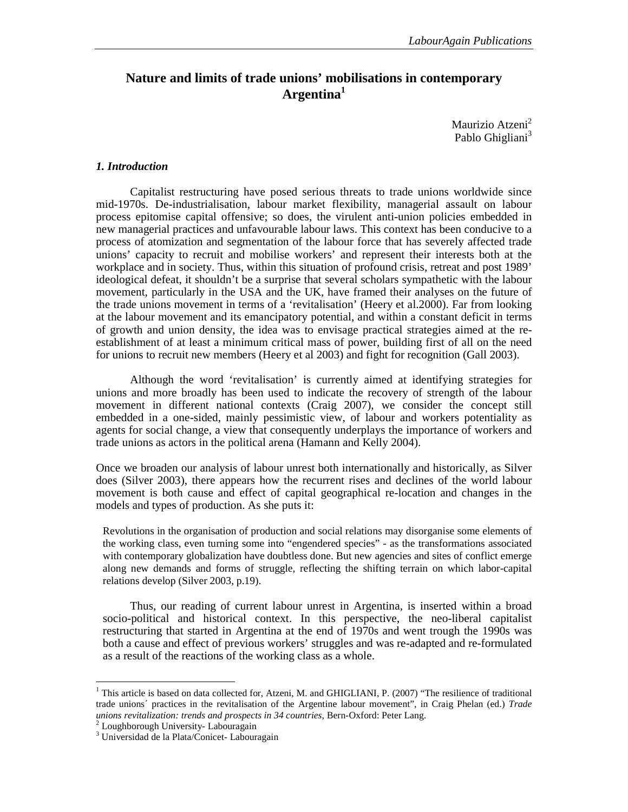# **Nature and limits of trade unions' mobilisations in contemporary Argentina<sup>1</sup>**

Maurizio Atzeni<sup>2</sup> Pablo Ghigliani<sup>3</sup>

## *1. Introduction*

Capitalist restructuring have posed serious threats to trade unions worldwide since mid-1970s. De-industrialisation, labour market flexibility, managerial assault on labour process epitomise capital offensive; so does, the virulent anti-union policies embedded in new managerial practices and unfavourable labour laws. This context has been conducive to a process of atomization and segmentation of the labour force that has severely affected trade unions' capacity to recruit and mobilise workers' and represent their interests both at the workplace and in society. Thus, within this situation of profound crisis, retreat and post 1989' ideological defeat, it shouldn't be a surprise that several scholars sympathetic with the labour movement, particularly in the USA and the UK, have framed their analyses on the future of the trade unions movement in terms of a 'revitalisation' (Heery et al.2000). Far from looking at the labour movement and its emancipatory potential, and within a constant deficit in terms of growth and union density, the idea was to envisage practical strategies aimed at the reestablishment of at least a minimum critical mass of power, building first of all on the need for unions to recruit new members (Heery et al 2003) and fight for recognition (Gall 2003).

Although the word 'revitalisation' is currently aimed at identifying strategies for unions and more broadly has been used to indicate the recovery of strength of the labour movement in different national contexts (Craig 2007), we consider the concept still embedded in a one-sided, mainly pessimistic view, of labour and workers potentiality as agents for social change, a view that consequently underplays the importance of workers and trade unions as actors in the political arena (Hamann and Kelly 2004).

Once we broaden our analysis of labour unrest both internationally and historically, as Silver does (Silver 2003), there appears how the recurrent rises and declines of the world labour movement is both cause and effect of capital geographical re-location and changes in the models and types of production. As she puts it:

Revolutions in the organisation of production and social relations may disorganise some elements of the working class, even turning some into "engendered species" - as the transformations associated with contemporary globalization have doubtless done. But new agencies and sites of conflict emerge along new demands and forms of struggle, reflecting the shifting terrain on which labor-capital relations develop (Silver 2003, p.19).

Thus, our reading of current labour unrest in Argentina, is inserted within a broad socio-political and historical context. In this perspective, the neo-liberal capitalist restructuring that started in Argentina at the end of 1970s and went trough the 1990s was both a cause and effect of previous workers' struggles and was re-adapted and re-formulated as a result of the reactions of the working class as a whole.

 $\overline{a}$ 

<sup>&</sup>lt;sup>1</sup> This article is based on data collected for, Atzeni, M. and GHIGLIANI, P. (2007) "The resilience of traditional trade unions´ practices in the revitalisation of the Argentine labour movement", in Craig Phelan (ed.) *Trade unions revitalization: trends and prospects in 34 countries,* Bern-Oxford: Peter Lang.

<sup>&</sup>lt;sup>2</sup> Loughborough University- Labouragain

<sup>3</sup> Universidad de la Plata/Conicet- Labouragain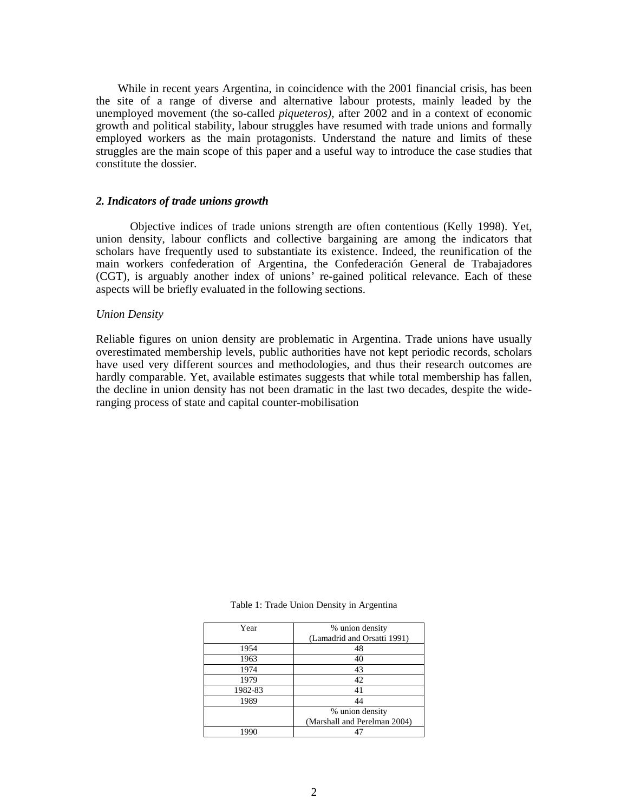While in recent years Argentina, in coincidence with the 2001 financial crisis, has been the site of a range of diverse and alternative labour protests, mainly leaded by the unemployed movement (the so-called *piqueteros)*, after 2002 and in a context of economic growth and political stability, labour struggles have resumed with trade unions and formally employed workers as the main protagonists. Understand the nature and limits of these struggles are the main scope of this paper and a useful way to introduce the case studies that constitute the dossier.

#### *2. Indicators of trade unions growth*

Objective indices of trade unions strength are often contentious (Kelly 1998). Yet, union density, labour conflicts and collective bargaining are among the indicators that scholars have frequently used to substantiate its existence. Indeed, the reunification of the main workers confederation of Argentina, the Confederación General de Trabajadores (CGT), is arguably another index of unions' re-gained political relevance. Each of these aspects will be briefly evaluated in the following sections.

## *Union Density*

Reliable figures on union density are problematic in Argentina. Trade unions have usually overestimated membership levels, public authorities have not kept periodic records, scholars have used very different sources and methodologies, and thus their research outcomes are hardly comparable. Yet, available estimates suggests that while total membership has fallen, the decline in union density has not been dramatic in the last two decades, despite the wideranging process of state and capital counter-mobilisation

| Year    | % union density              |
|---------|------------------------------|
|         | (Lamadrid and Orsatti 1991)  |
| 1954    | 48                           |
| 1963    | 40                           |
| 1974    | 43                           |
| 1979    | 42                           |
| 1982-83 | 41                           |
| 1989    | 44                           |
|         | % union density              |
|         | (Marshall and Perelman 2004) |
| 1990    |                              |

Table 1: Trade Union Density in Argentina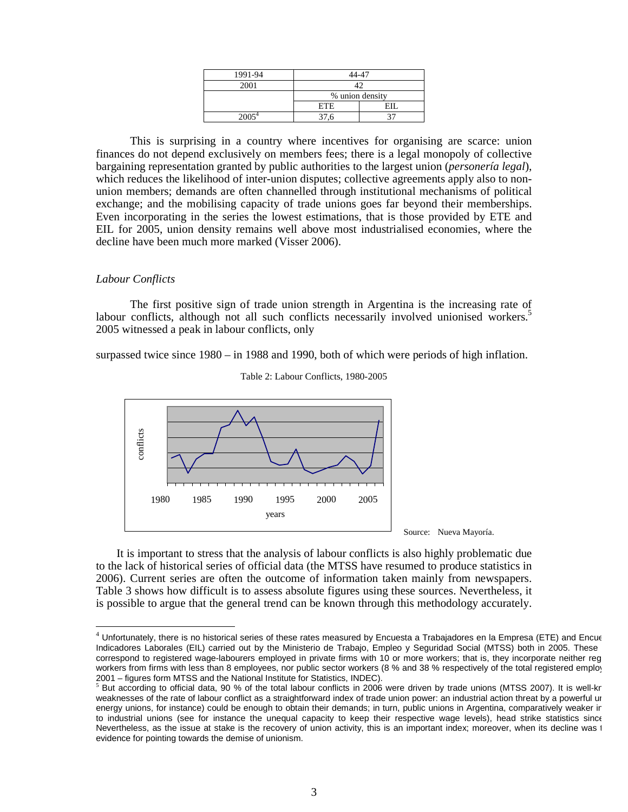| 1991-94 | $14 - 47$       |  |
|---------|-----------------|--|
| 2001    |                 |  |
|         | % union density |  |
|         | ETE.            |  |
| 20054   |                 |  |

This is surprising in a country where incentives for organising are scarce: union finances do not depend exclusively on members fees; there is a legal monopoly of collective bargaining representation granted by public authorities to the largest union (*personería legal*), which reduces the likelihood of inter-union disputes; collective agreements apply also to nonunion members; demands are often channelled through institutional mechanisms of political exchange; and the mobilising capacity of trade unions goes far beyond their memberships. Even incorporating in the series the lowest estimations, that is those provided by ETE and EIL for 2005, union density remains well above most industrialised economies, where the decline have been much more marked (Visser 2006).

## *Labour Conflicts*

 $\overline{a}$ 

The first positive sign of trade union strength in Argentina is the increasing rate of labour conflicts, although not all such conflicts necessarily involved unionised workers.<sup>5</sup> 2005 witnessed a peak in labour conflicts, only

surpassed twice since 1980 – in 1988 and 1990, both of which were periods of high inflation.





Source: Nueva Mayoría.

It is important to stress that the analysis of labour conflicts is also highly problematic due to the lack of historical series of official data (the MTSS have resumed to produce statistics in 2006). Current series are often the outcome of information taken mainly from newspapers. Table 3 shows how difficult is to assess absolute figures using these sources. Nevertheless, it is possible to argue that the general trend can be known through this methodology accurately.

 $4$  Unfortunately, there is no historical series of these rates measured by Encuesta a Trabajadores en la Empresa (ETE) and Encue Indicadores Laborales (EIL) carried out by the Ministerio de Trabajo, Empleo y Seguridad Social (MTSS) both in 2005. These correspond to registered wage-labourers employed in private firms with 10 or more workers; that is, they incorporate neither reg workers from firms with less than 8 employees, nor public sector workers (8 % and 38 % respectively of the total registered employ 2001 – figures form MTSS and the National Institute for Statistics, INDEC).

 $5$  But according to official data, 90 % of the total labour conflicts in 2006 were driven by trade unions (MTSS 2007). It is well-kn weaknesses of the rate of labour conflict as a straightforward index of trade union power: an industrial action threat by a powerful ur energy unions, for instance) could be enough to obtain their demands; in turn, public unions in Argentina, comparatively weaker in to industrial unions (see for instance the unequal capacity to keep their respective wage levels), head strike statistics since Nevertheless, as the issue at stake is the recovery of union activity, this is an important index; moreover, when its decline was t evidence for pointing towards the demise of unionism.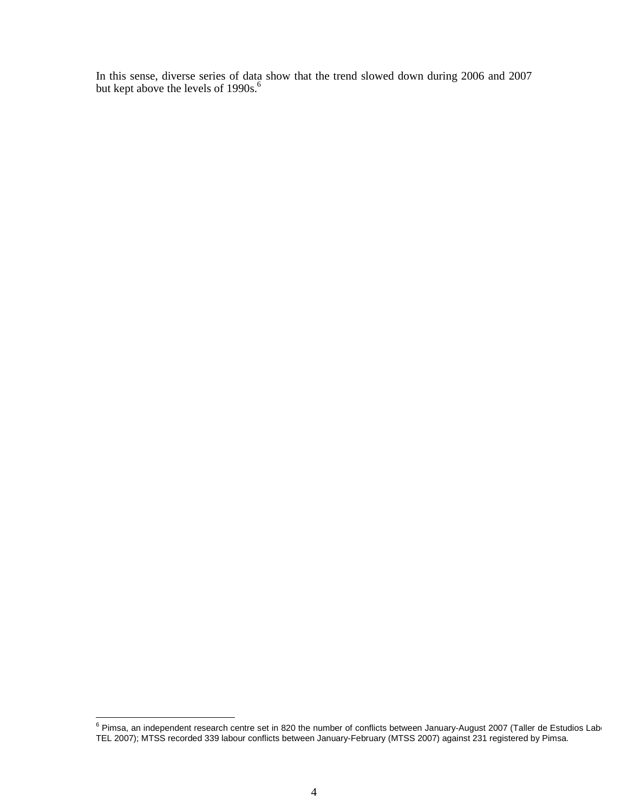In this sense, diverse series of data show that the trend slowed down during 2006 and 2007 but kept above the levels of 1990s.<sup>6</sup>

enties and the pend of the controller and the number of conflicts between January-August 2007 (Taller de Estudios Laborales of Pimsa, an independent research centre set in 820 the number of conflicts between January-August TEL 2007); MTSS recorded 339 labour conflicts between January-February (MTSS 2007) against 231 registered by Pimsa.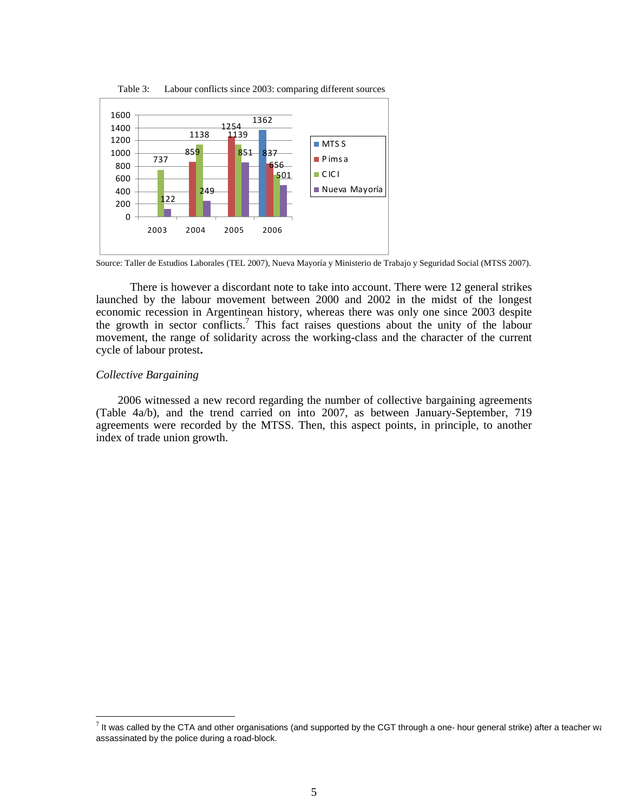

Table 3: Labour conflicts since 2003: comparing different sources

There is however a discordant note to take into account. There were 12 general strikes launched by the labour movement between 2000 and 2002 in the midst of the longest economic recession in Argentinean history, whereas there was only one since 2003 despite the growth in sector conflicts.<sup>7</sup> This fact raises questions about the unity of the labour movement, the range of solidarity across the working-class and the character of the current cycle of labour protest**.**

## *Collective Bargaining*

 $\overline{a}$ 

2006 witnessed a new record regarding the number of collective bargaining agreements (Table 4a/b), and the trend carried on into 2007, as between January-September, 719 agreements were recorded by the MTSS. Then, this aspect points, in principle, to another index of trade union growth.

 Source: Taller de Estudios Laborales (TEL 2007), Nueva Mayoría y Ministerio de Trabajo y Seguridad Social (MTSS 2007).

 $^7$  It was called by the CTA and other organisations (and supported by the CGT through a one- hour general strike) after a teacher was assassinated by the police during a road-block.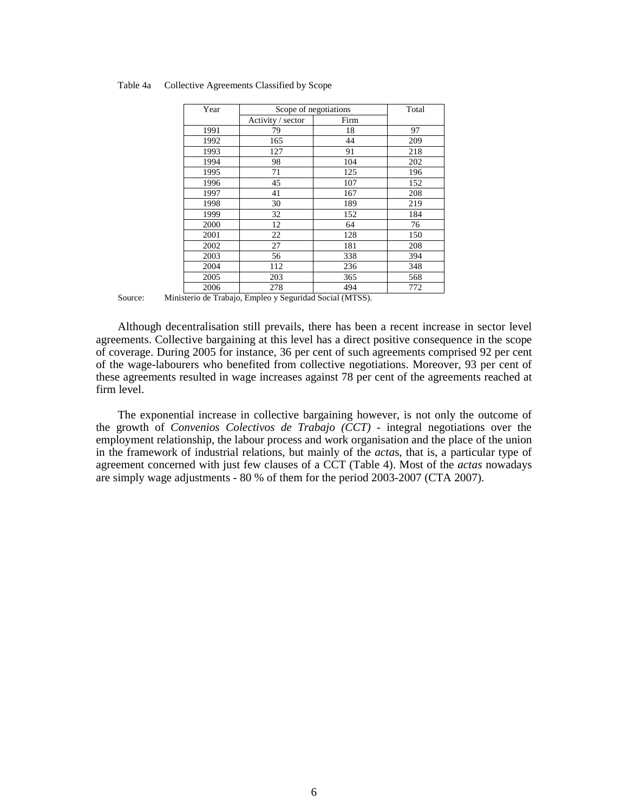| Year | Scope of negotiations |      | Total |
|------|-----------------------|------|-------|
|      | Activity / sector     | Firm |       |
| 1991 | 79                    | 18   | 97    |
| 1992 | 165                   | 44   | 209   |
| 1993 | 127                   | 91   | 218   |
| 1994 | 98                    | 104  | 202   |
| 1995 | 71                    | 125  | 196   |
| 1996 | 45                    | 107  | 152   |
| 1997 | 41                    | 167  | 208   |
| 1998 | 30                    | 189  | 219   |
| 1999 | 32                    | 152  | 184   |
| 2000 | 12                    | 64   | 76    |
| 2001 | 22                    | 128  | 150   |
| 2002 | 27                    | 181  | 208   |
| 2003 | 56                    | 338  | 394   |
| 2004 | 112                   | 236  | 348   |
| 2005 | 203                   | 365  | 568   |
| 2006 | 278                   | 494  | 772   |

#### Table 4a Collective Agreements Classified by Scope

Although decentralisation still prevails, there has been a recent increase in sector level agreements. Collective bargaining at this level has a direct positive consequence in the scope of coverage. During 2005 for instance, 36 per cent of such agreements comprised 92 per cent of the wage-labourers who benefited from collective negotiations. Moreover, 93 per cent of these agreements resulted in wage increases against 78 per cent of the agreements reached at firm level.

The exponential increase in collective bargaining however, is not only the outcome of the growth of *Convenios Colectivos de Trabajo (CCT)* - integral negotiations over the employment relationship, the labour process and work organisation and the place of the union in the framework of industrial relations, but mainly of the *acta*s, that is, a particular type of agreement concerned with just few clauses of a CCT (Table 4). Most of the *actas* nowadays are simply wage adjustments - 80 % of them for the period 2003-2007 (CTA 2007).

Source: Ministerio de Trabajo, Empleo y Seguridad Social (MTSS).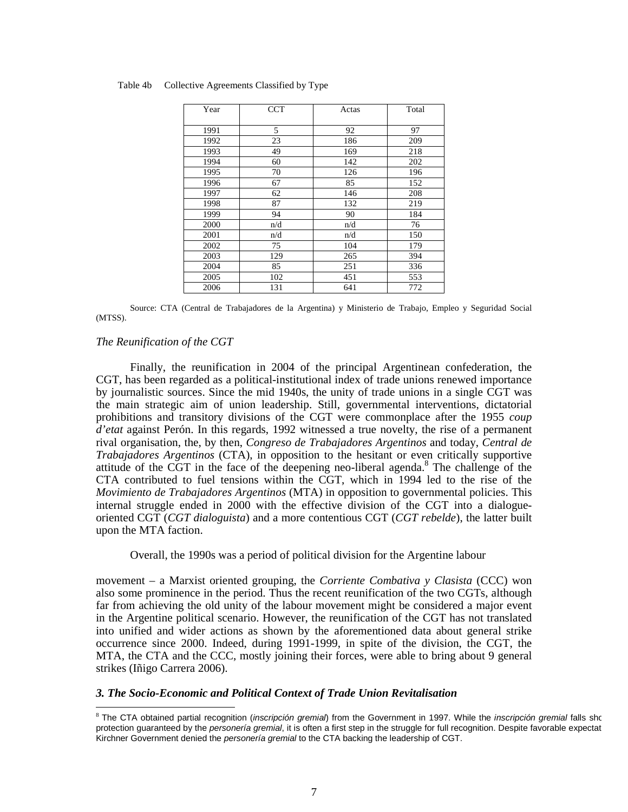| Year | <b>CCT</b> | Actas | Total |
|------|------------|-------|-------|
| 1991 | 5          | 92    | 97    |
| 1992 | 23         | 186   | 209   |
| 1993 | 49         | 169   | 218   |
| 1994 | 60         | 142   | 202   |
| 1995 | 70         | 126   | 196   |
| 1996 | 67         | 85    | 152   |
| 1997 | 62         | 146   | 208   |
| 1998 | 87         | 132   | 219   |
| 1999 | 94         | 90    | 184   |
| 2000 | n/d        | n/d   | 76    |
| 2001 | n/d        | n/d   | 150   |
| 2002 | 75         | 104   | 179   |
| 2003 | 129        | 265   | 394   |
| 2004 | 85         | 251   | 336   |
| 2005 | 102        | 451   | 553   |
| 2006 | 131        | 641   | 772   |

#### Table 4b Collective Agreements Classified by Type

Source: CTA (Central de Trabajadores de la Argentina) y Ministerio de Trabajo, Empleo y Seguridad Social (MTSS).

## *The Reunification of the CGT*

 $\overline{a}$ 

Finally, the reunification in 2004 of the principal Argentinean confederation, the CGT, has been regarded as a political-institutional index of trade unions renewed importance by journalistic sources. Since the mid 1940s, the unity of trade unions in a single CGT was the main strategic aim of union leadership. Still, governmental interventions, dictatorial prohibitions and transitory divisions of the CGT were commonplace after the 1955 *coup d'etat* against Perón. In this regards, 1992 witnessed a true novelty, the rise of a permanent rival organisation, the, by then, *Congreso de Trabajadores Argentinos* and today, *Central de Trabajadores Argentinos* (CTA), in opposition to the hesitant or even critically supportive attitude of the CGT in the face of the deepening neo-liberal agenda.<sup>8</sup> The challenge of the CTA contributed to fuel tensions within the CGT, which in 1994 led to the rise of the *Movimiento de Trabajadores Argentinos* (MTA) in opposition to governmental policies. This internal struggle ended in 2000 with the effective division of the CGT into a dialogueoriented CGT (*CGT dialoguista*) and a more contentious CGT (*CGT rebelde*), the latter built upon the MTA faction.

Overall, the 1990s was a period of political division for the Argentine labour

movement – a Marxist oriented grouping, the *Corriente Combativa y Clasista* (CCC) won also some prominence in the period. Thus the recent reunification of the two CGTs, although far from achieving the old unity of the labour movement might be considered a major event in the Argentine political scenario. However, the reunification of the CGT has not translated into unified and wider actions as shown by the aforementioned data about general strike occurrence since 2000. Indeed, during 1991-1999, in spite of the division, the CGT, the MTA, the CTA and the CCC, mostly joining their forces, were able to bring about 9 general strikes (Iñigo Carrera 2006).

### *3. The Socio-Economic and Political Context of Trade Union Revitalisation*

<sup>&</sup>lt;sup>8</sup> The CTA obtained partial recognition (inscripción gremial) from the Government in 1997. While the inscripción gremial falls sho protection guaranteed by the *personería gremial*, it is often a first step in the struggle for full recognition. Despite favorable expectat Kirchner Government denied the personería gremial to the CTA backing the leadership of CGT.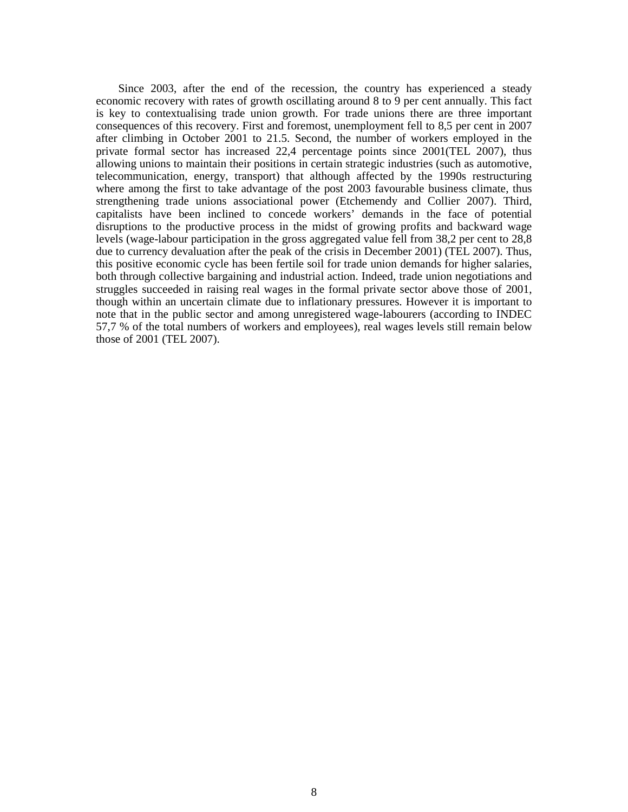Since 2003, after the end of the recession, the country has experienced a steady economic recovery with rates of growth oscillating around 8 to 9 per cent annually. This fact is key to contextualising trade union growth. For trade unions there are three important consequences of this recovery. First and foremost, unemployment fell to 8,5 per cent in 2007 after climbing in October 2001 to 21.5. Second, the number of workers employed in the private formal sector has increased 22,4 percentage points since 2001(TEL 2007), thus allowing unions to maintain their positions in certain strategic industries (such as automotive, telecommunication, energy, transport) that although affected by the 1990s restructuring where among the first to take advantage of the post 2003 favourable business climate, thus strengthening trade unions associational power (Etchemendy and Collier 2007). Third, capitalists have been inclined to concede workers' demands in the face of potential disruptions to the productive process in the midst of growing profits and backward wage levels (wage-labour participation in the gross aggregated value fell from 38,2 per cent to 28,8 due to currency devaluation after the peak of the crisis in December 2001) (TEL 2007). Thus, this positive economic cycle has been fertile soil for trade union demands for higher salaries, both through collective bargaining and industrial action. Indeed, trade union negotiations and struggles succeeded in raising real wages in the formal private sector above those of 2001, though within an uncertain climate due to inflationary pressures. However it is important to note that in the public sector and among unregistered wage-labourers (according to INDEC 57,7 % of the total numbers of workers and employees), real wages levels still remain below those of 2001 (TEL 2007).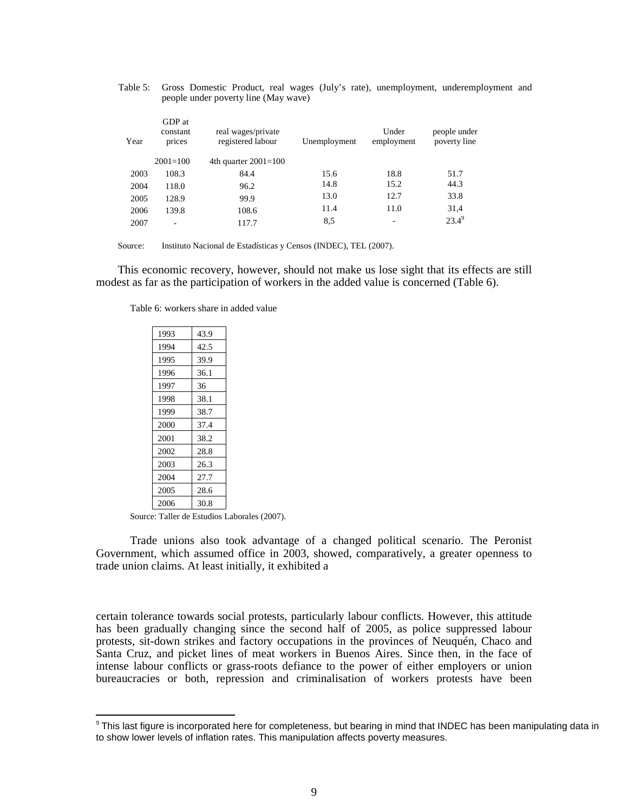Table 5: Gross Domestic Product, real wages (July's rate), unemployment, underemployment and people under poverty line (May wave)

| Year | GDP at<br>constant<br>prices | real wages/private<br>registered labour | Unemployment | Under<br>employment      | people under<br>poverty line |
|------|------------------------------|-----------------------------------------|--------------|--------------------------|------------------------------|
|      | $2001 = 100$                 | 4th quarter $2001=100$                  |              |                          |                              |
| 2003 | 108.3                        | 84.4                                    | 15.6         | 18.8                     | 51.7                         |
| 2004 | 118.0                        | 96.2                                    | 14.8         | 15.2                     | 44.3                         |
| 2005 | 128.9                        | 99.9                                    | 13.0         | 12.7                     | 33.8                         |
| 2006 | 139.8                        | 108.6                                   | 11.4         | 11.0                     | 31,4                         |
| 2007 | $\overline{\phantom{a}}$     | 117.7                                   | 8,5          | $\overline{\phantom{a}}$ | $23.4^9$                     |

Source: Instituto Nacional de Estadísticas y Censos (INDEC), TEL (2007).

This economic recovery, however, should not make us lose sight that its effects are still modest as far as the participation of workers in the added value is concerned (Table 6).

| 1993 | 43.9 |
|------|------|
| 1994 | 42.5 |
| 1995 | 39.9 |
| 1996 | 36.1 |
| 1997 | 36   |
| 1998 | 38.1 |
| 1999 | 38.7 |
| 2000 | 37.4 |
| 2001 | 38.2 |
| 2002 | 28.8 |
| 2003 | 26.3 |
| 2004 | 27.7 |
| 2005 | 28.6 |
| 2006 | 30.8 |

Table 6: workers share in added value

Source: Taller de Estudios Laborales (2007).

 $\overline{a}$ 

Trade unions also took advantage of a changed political scenario. The Peronist Government, which assumed office in 2003, showed, comparatively, a greater openness to trade union claims. At least initially, it exhibited a

certain tolerance towards social protests, particularly labour conflicts. However, this attitude has been gradually changing since the second half of 2005, as police suppressed labour protests, sit-down strikes and factory occupations in the provinces of Neuquén, Chaco and Santa Cruz, and picket lines of meat workers in Buenos Aires. Since then, in the face of intense labour conflicts or grass-roots defiance to the power of either employers or union bureaucracies or both, repression and criminalisation of workers protests have been

 $^9$  This last figure is incorporated here for completeness, but bearing in mind that INDEC has been manipulating data in to show lower levels of inflation rates. This manipulation affects poverty measures.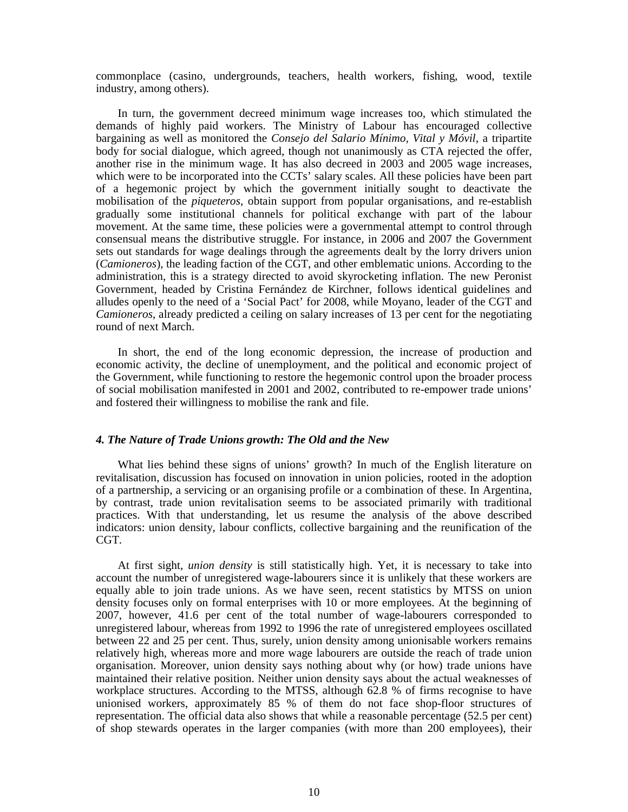commonplace (casino, undergrounds, teachers, health workers, fishing, wood, textile industry, among others).

In turn, the government decreed minimum wage increases too, which stimulated the demands of highly paid workers. The Ministry of Labour has encouraged collective bargaining as well as monitored the *Consejo del Salario Mínimo, Vital y Móvil*, a tripartite body for social dialogue, which agreed, though not unanimously as CTA rejected the offer, another rise in the minimum wage. It has also decreed in 2003 and 2005 wage increases, which were to be incorporated into the CCTs' salary scales. All these policies have been part of a hegemonic project by which the government initially sought to deactivate the mobilisation of the *piqueteros*, obtain support from popular organisations, and re-establish gradually some institutional channels for political exchange with part of the labour movement. At the same time, these policies were a governmental attempt to control through consensual means the distributive struggle. For instance, in 2006 and 2007 the Government sets out standards for wage dealings through the agreements dealt by the lorry drivers union (*Camioneros*), the leading faction of the CGT, and other emblematic unions. According to the administration, this is a strategy directed to avoid skyrocketing inflation. The new Peronist Government, headed by Cristina Fernández de Kirchner, follows identical guidelines and alludes openly to the need of a 'Social Pact' for 2008, while Moyano, leader of the CGT and *Camioneros*, already predicted a ceiling on salary increases of 13 per cent for the negotiating round of next March.

In short, the end of the long economic depression, the increase of production and economic activity, the decline of unemployment, and the political and economic project of the Government, while functioning to restore the hegemonic control upon the broader process of social mobilisation manifested in 2001 and 2002, contributed to re-empower trade unions' and fostered their willingness to mobilise the rank and file.

# *4. The Nature of Trade Unions growth: The Old and the New*

What lies behind these signs of unions' growth? In much of the English literature on revitalisation, discussion has focused on innovation in union policies, rooted in the adoption of a partnership, a servicing or an organising profile or a combination of these. In Argentina, by contrast, trade union revitalisation seems to be associated primarily with traditional practices. With that understanding, let us resume the analysis of the above described indicators: union density, labour conflicts, collective bargaining and the reunification of the CGT.

At first sight, *union density* is still statistically high. Yet, it is necessary to take into account the number of unregistered wage-labourers since it is unlikely that these workers are equally able to join trade unions. As we have seen, recent statistics by MTSS on union density focuses only on formal enterprises with 10 or more employees. At the beginning of 2007, however, 41.6 per cent of the total number of wage-labourers corresponded to unregistered labour, whereas from 1992 to 1996 the rate of unregistered employees oscillated between 22 and 25 per cent. Thus, surely, union density among unionisable workers remains relatively high, whereas more and more wage labourers are outside the reach of trade union organisation. Moreover, union density says nothing about why (or how) trade unions have maintained their relative position. Neither union density says about the actual weaknesses of workplace structures. According to the MTSS, although 62.8 % of firms recognise to have unionised workers, approximately 85 % of them do not face shop-floor structures of representation. The official data also shows that while a reasonable percentage (52.5 per cent) of shop stewards operates in the larger companies (with more than 200 employees), their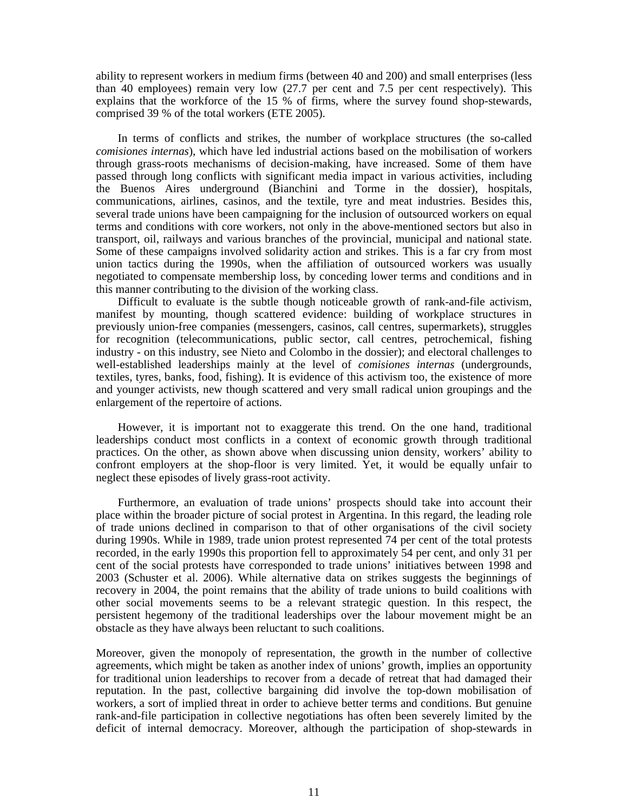ability to represent workers in medium firms (between 40 and 200) and small enterprises (less than 40 employees) remain very low (27.7 per cent and 7.5 per cent respectively). This explains that the workforce of the 15 % of firms, where the survey found shop-stewards, comprised 39 % of the total workers (ETE 2005).

In terms of conflicts and strikes, the number of workplace structures (the so-called *comisiones internas*), which have led industrial actions based on the mobilisation of workers through grass-roots mechanisms of decision-making, have increased. Some of them have passed through long conflicts with significant media impact in various activities, including the Buenos Aires underground (Bianchini and Torme in the dossier), hospitals, communications, airlines, casinos, and the textile, tyre and meat industries. Besides this, several trade unions have been campaigning for the inclusion of outsourced workers on equal terms and conditions with core workers, not only in the above-mentioned sectors but also in transport, oil, railways and various branches of the provincial, municipal and national state. Some of these campaigns involved solidarity action and strikes. This is a far cry from most union tactics during the 1990s, when the affiliation of outsourced workers was usually negotiated to compensate membership loss, by conceding lower terms and conditions and in this manner contributing to the division of the working class.

Difficult to evaluate is the subtle though noticeable growth of rank-and-file activism, manifest by mounting, though scattered evidence: building of workplace structures in previously union-free companies (messengers, casinos, call centres, supermarkets), struggles for recognition (telecommunications, public sector, call centres, petrochemical, fishing industry - on this industry, see Nieto and Colombo in the dossier); and electoral challenges to well-established leaderships mainly at the level of *comisiones internas* (undergrounds, textiles, tyres, banks, food, fishing). It is evidence of this activism too, the existence of more and younger activists, new though scattered and very small radical union groupings and the enlargement of the repertoire of actions.

However, it is important not to exaggerate this trend. On the one hand, traditional leaderships conduct most conflicts in a context of economic growth through traditional practices. On the other, as shown above when discussing union density, workers' ability to confront employers at the shop-floor is very limited. Yet, it would be equally unfair to neglect these episodes of lively grass-root activity.

Furthermore, an evaluation of trade unions' prospects should take into account their place within the broader picture of social protest in Argentina. In this regard, the leading role of trade unions declined in comparison to that of other organisations of the civil society during 1990s. While in 1989, trade union protest represented 74 per cent of the total protests recorded, in the early 1990s this proportion fell to approximately 54 per cent, and only 31 per cent of the social protests have corresponded to trade unions' initiatives between 1998 and 2003 (Schuster et al. 2006). While alternative data on strikes suggests the beginnings of recovery in 2004, the point remains that the ability of trade unions to build coalitions with other social movements seems to be a relevant strategic question. In this respect, the persistent hegemony of the traditional leaderships over the labour movement might be an obstacle as they have always been reluctant to such coalitions.

Moreover, given the monopoly of representation, the growth in the number of collective agreements, which might be taken as another index of unions' growth, implies an opportunity for traditional union leaderships to recover from a decade of retreat that had damaged their reputation. In the past, collective bargaining did involve the top-down mobilisation of workers, a sort of implied threat in order to achieve better terms and conditions. But genuine rank-and-file participation in collective negotiations has often been severely limited by the deficit of internal democracy. Moreover, although the participation of shop-stewards in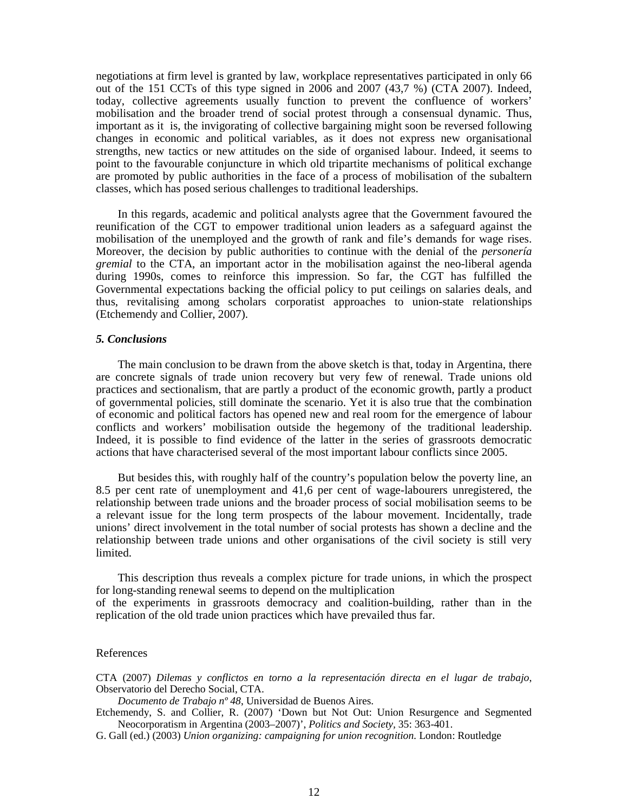negotiations at firm level is granted by law, workplace representatives participated in only 66 out of the 151 CCTs of this type signed in 2006 and 2007 (43,7 %) (CTA 2007). Indeed, today, collective agreements usually function to prevent the confluence of workers' mobilisation and the broader trend of social protest through a consensual dynamic. Thus, important as it is, the invigorating of collective bargaining might soon be reversed following changes in economic and political variables, as it does not express new organisational strengths, new tactics or new attitudes on the side of organised labour. Indeed, it seems to point to the favourable conjuncture in which old tripartite mechanisms of political exchange are promoted by public authorities in the face of a process of mobilisation of the subaltern classes, which has posed serious challenges to traditional leaderships.

In this regards, academic and political analysts agree that the Government favoured the reunification of the CGT to empower traditional union leaders as a safeguard against the mobilisation of the unemployed and the growth of rank and file's demands for wage rises. Moreover, the decision by public authorities to continue with the denial of the *personería gremial* to the CTA, an important actor in the mobilisation against the neo-liberal agenda during 1990s, comes to reinforce this impression. So far, the CGT has fulfilled the Governmental expectations backing the official policy to put ceilings on salaries deals, and thus, revitalising among scholars corporatist approaches to union-state relationships (Etchemendy and Collier, 2007).

## *5. Conclusions*

The main conclusion to be drawn from the above sketch is that, today in Argentina, there are concrete signals of trade union recovery but very few of renewal. Trade unions old practices and sectionalism, that are partly a product of the economic growth, partly a product of governmental policies, still dominate the scenario. Yet it is also true that the combination of economic and political factors has opened new and real room for the emergence of labour conflicts and workers' mobilisation outside the hegemony of the traditional leadership. Indeed, it is possible to find evidence of the latter in the series of grassroots democratic actions that have characterised several of the most important labour conflicts since 2005.

But besides this, with roughly half of the country's population below the poverty line, an 8.5 per cent rate of unemployment and 41,6 per cent of wage-labourers unregistered, the relationship between trade unions and the broader process of social mobilisation seems to be a relevant issue for the long term prospects of the labour movement. Incidentally, trade unions' direct involvement in the total number of social protests has shown a decline and the relationship between trade unions and other organisations of the civil society is still very limited.

This description thus reveals a complex picture for trade unions, in which the prospect for long-standing renewal seems to depend on the multiplication

of the experiments in grassroots democracy and coalition-building, rather than in the replication of the old trade union practices which have prevailed thus far.

## References

CTA (2007) *Dilemas y conflictos en torno a la representación directa en el lugar de trabajo*, Observatorio del Derecho Social, CTA.

*Documento de Trabajo nº 48*, Universidad de Buenos Aires.

Etchemendy, S. and Collier, R. (2007) 'Down but Not Out: Union Resurgence and Segmented Neocorporatism in Argentina (2003–2007)', *Politics and Society,* 35: 363-401.

G. Gall (ed.) (2003) *Union organizing: campaigning for union recognition.* London: Routledge